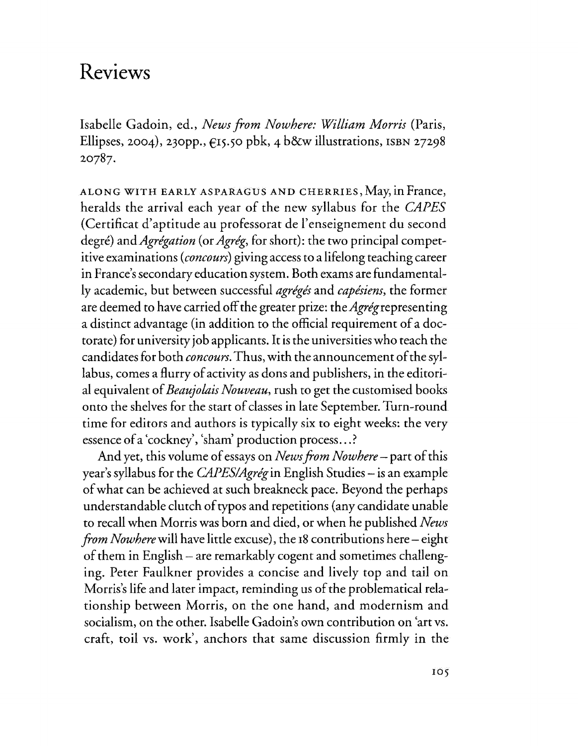## **Reviews**

Isabelle Gadoin, ed., *Newsfrom Nowhere: William Morris* (Paris, Ellipses, 2004), 230pp.,  $\epsilon$ 15.50 pbk, 4 b&w illustrations, ISBN 27298 20787.

ALONG WITH EARLY ASPARACUS AND CHERRIES, May, in France, heralds the arrival each year of the new syllabus for the *CAPES* (Certificat d'aptitude au professorat de l'enseignement du second degre) *andAgregation* (or *Agreg,* for short): the two principal competitive examinations *(concours)* giving access to a lifelong teaching career in France's secondary education system. Both exams are fundamentally academic, but between successful *agreges* and *capesiens,* the former are deemed to have carried off the greater prize: the  $Agr\acute{e}g$  representing a distinct advantage (in addition to the official requirement of a doctorate) for university job applicants. It isthe universities who teach the candidates for both *concours*. Thus, with the announcement of the syllabus, comes a flurry of activity as dons and publishers, in the editorial equivalent of *Beaujolais Nouveau*, rush to get the customised books onto the shelves for the start of classes in late September. Turn-round time for editors and authors is typically six to eight weeks: the very essence of a 'cockney', 'sham' production process...?

And yet, this volume of essays on *News from Nowhere* – part of this year's syllabus for the *CAPES/Agrég* in English Studies – is an example ofwhat can be achieved at such breakneck pace. Beyond the perhaps understandable clutch of typos and repetitions (any candidate unable to recall when Morris was born and died, or when he published *News from Nowhere* will have little excuse), the 18 contributions here – eight of them in English - are remarkably cogent and sometimes challenging. Peter Faulkner provides a concise and lively top and tail on Morris's life and later impact, reminding us of the problematical relationship between Morris, on the one hand, and modernism and socialism, on the other. Isabelle Gadoin's own contribution on 'art vs. craft, toil vs. work', anchors that same discussion firmly in the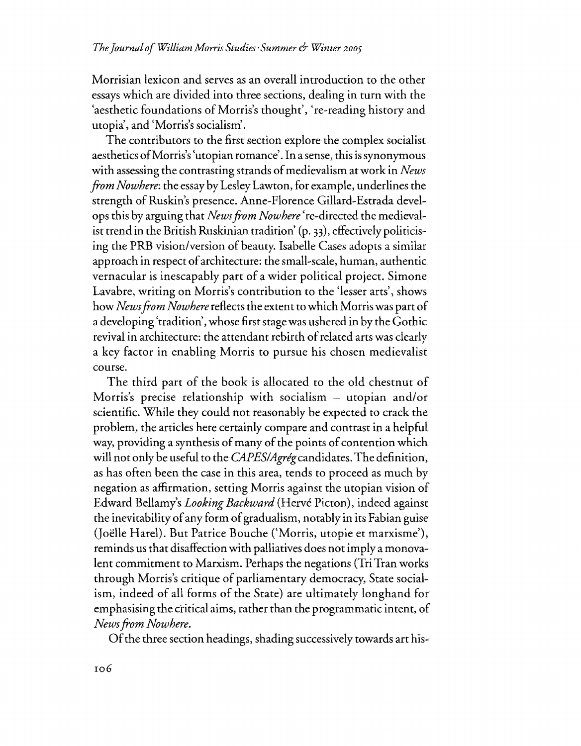Morrisian lexicon and serves as an overall introduction to the other essayswhich are divided into three sections, dealing in turn with the 'aesthetic foundations of Morris's thought', 're-reading history and utopia', and 'Morris's socialism'.

The contributors to the first section explore the complex socialist aesthetics ofMorris's'utopian romance'. In asense, this issynonymous with assessing the contrasting strands of medievalism at work in *News fromNowhere:* the essayby LesleyLawton, for example, underlines the strength of Ruskin's presence. Anne-Florence Gillard-Estrada develops this by arguing that *NewsfromNowhere'*re-directed the medievalist trend in the British Ruskinian tradition' (p. 33), effectively politicising the PRB vision/version of beauty. Isabelle Cases adopts a similar approach in respect of architecture: the small-scale, human, authentic vernacular is inescapably part of a wider political project. Simone Lavabre, writing on Morris's contribution to the 'lesser arts', shows how *News from Nowhere* reflects the extent to which Morris was part of a developing 'tradition', whose first stage was ushered in by the Gothic revival in architecture: the attendant rebirth of related arts was clearly a key factor in enabling Morris to pursue his chosen medievalist course.

The third part of the book is allocated to the old chestnut of Morris's precise relationship with socialism – utopian and/or scientific. While they could not reasonably be expected to crack the problem, the articles here certainly compare and contrast in a helpful way, providing a synthesis of many of the points of contention which will not only be useful to the *CAPESIAgregcandidates.* The definition, as has often been the case in this area, tends to proceed as much by negation as affirmation, setting Morris against the utopian vision of Edward Bellamy's *Looking Backward* (Herve Picton), indeed against the inevitability of any form of gradualism, notably in its Fabian guise (Joëlle Harel). But Patrice Bouche ('Morris, utopie et marxisme'), reminds us that disaffection with palliatives does not imply a monovalent commitment to Marxism. Perhaps the negations (TriTran works through Morris's critique of parliamentary democracy, State socialism, indeed of all forms of the State) are ultimately longhand for emphasising the critical aims, rather than the programmatic intent, of *Newsfrom Nowhere.*

Of the three section headings, shading successively towards art his-